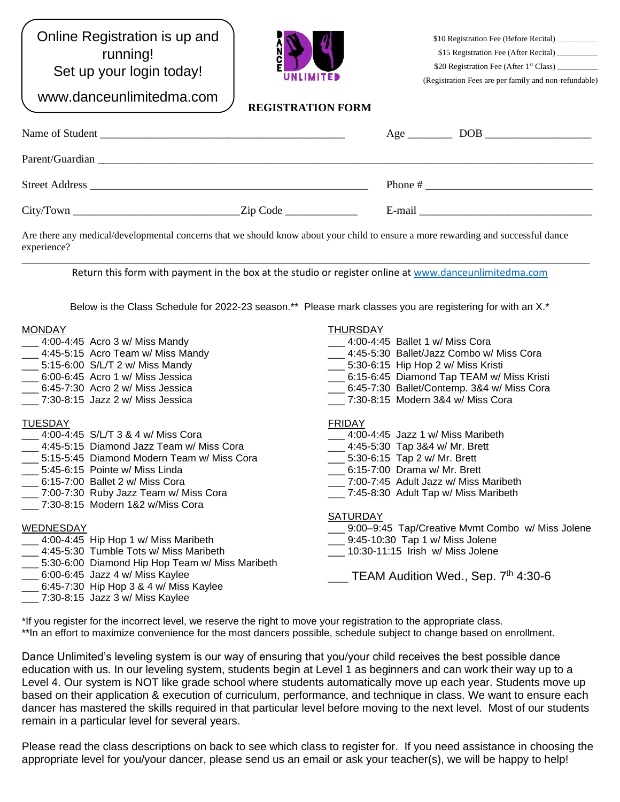Online Registration is up and running! Set up your login today!

www.danceunlimitedma.com



\$10 Registration Fee (Before Recital) \_ \$15 Registration Fee (After Recital) \_ \$20 Registration Fee (After 1<sup>st</sup> Class) \_ (Registration Fees are per family and non-refundable)

**REGISTRATION FORM**

| Name of Student<br><u> 2000 - Jan Barnett, amerikan berlindari personal dan berlindas dan berlindas dan berlindas dan berlindas dan</u>       |                   | Age $\qquad$ | DOB.      |
|-----------------------------------------------------------------------------------------------------------------------------------------------|-------------------|--------------|-----------|
| Parent/Guardian                                                                                                                               |                   |              |           |
| <b>Street Address</b><br><u> 1980 - Jan Barbara, martin da shekara tsa na shekara tsa na shekara tsa na shekara tsa na shekara tsa na she</u> |                   |              | Phone $#$ |
| City/ Town                                                                                                                                    | $\text{Zip Code}$ | E-mail       |           |

Are there any medical/developmental concerns that we should know about your child to ensure a more rewarding and successful dance experience?

\_\_\_\_\_\_\_\_\_\_\_\_\_\_\_\_\_\_\_\_\_\_\_\_\_\_\_\_\_\_\_\_\_\_\_\_\_\_\_\_\_\_\_\_\_\_\_\_\_\_\_\_\_\_\_\_\_\_\_\_\_\_\_\_\_\_\_\_\_\_\_\_\_\_\_\_\_\_\_\_\_\_\_\_\_\_\_\_\_\_\_\_\_\_\_\_\_\_\_\_\_\_ Return this form with payment in the box at the studio or register online a[t www.danceunlimitedma.com](http://www.danceunlimitedma.com/)

Below is the Class Schedule for 2022-23 season.\*\* Please mark classes you are registering for with an X.\*

#### **MONDAY**

- \_\_\_ 4:00-4:45 Acro 3 w/ Miss Mandy \_\_\_ 4:45-5:15 Acro Team w/ Miss Mandy
- \_\_\_ 5:15-6:00 S/L/T 2 w/ Miss Mandy
- \_\_\_ 6:00-6:45 Acro 1 w/ Miss Jessica
- \_\_\_ 6:45-7:30 Acro 2 w/ Miss Jessica
- \_\_\_ 7:30-8:15 Jazz 2 w/ Miss Jessica

## TUESDAY

- 4:00-4:45 S/L/T 3 & 4 w/ Miss Cora
- \_\_\_ 4:45-5:15 Diamond Jazz Team w/ Miss Cora
- \_\_\_ 5:15-5:45 Diamond Modern Team w/ Miss Cora
- \_\_\_ 5:45-6:15 Pointe w/ Miss Linda
- \_\_\_ 6:15-7:00 Ballet 2 w/ Miss Cora
- \_\_\_ 7:00-7:30 Ruby Jazz Team w/ Miss Cora
- \_\_\_ 7:30-8:15 Modern 1&2 w/Miss Cora

# WEDNESDAY

- \_\_\_ 4:00-4:45 Hip Hop 1 w/ Miss Maribeth
- \_\_\_ 4:45-5:30 Tumble Tots w/ Miss Maribeth
- \_\_\_ 5:30-6:00 Diamond Hip Hop Team w/ Miss Maribeth
- \_\_\_ 6:00-6:45 Jazz 4 w/ Miss Kaylee
- $\_$  6:45-7:30 Hip Hop 3 & 4 w/ Miss Kaylee
- \_\_\_ 7:30-8:15 Jazz 3 w/ Miss Kaylee

### THURSDAY

- \_\_\_ 4:00-4:45 Ballet 1 w/ Miss Cora
- 4:45-5:30 Ballet/Jazz Combo w/ Miss Cora
- \_\_\_ 5:30-6:15 Hip Hop 2 w/ Miss Kristi
- \_\_\_ 6:15-6:45 Diamond Tap TEAM w/ Miss Kristi
- \_\_\_ 6:45-7:30 Ballet/Contemp. 3&4 w/ Miss Cora
- \_\_\_ 7:30-8:15 Modern 3&4 w/ Miss Cora

## FRIDAY

- 4:00-4:45 Jazz 1 w/ Miss Maribeth
- \_\_\_ 4:45-5:30 Tap 3&4 w/ Mr. Brett
- \_\_\_ 5:30-6:15 Tap 2 w/ Mr. Brett
- \_\_\_ 6:15-7:00 Drama w/ Mr. Brett
- \_\_\_ 7:00-7:45 Adult Jazz w/ Miss Maribeth
- \_\_\_ 7:45-8:30 Adult Tap w/ Miss Maribeth

### SATURDAY

- 9:00–9:45 Tap/Creative Mvmt Combo w/ Miss Jolene
- \_\_\_ 9:45-10:30 Tap 1 w/ Miss Jolene
- \_\_\_ 10:30-11:15 Irish w/ Miss Jolene
	- Letter TEAM Audition Wed., Sep. 7<sup>th</sup> 4:30-6

\*If you register for the incorrect level, we reserve the right to move your registration to the appropriate class. \*\*In an effort to maximize convenience for the most dancers possible, schedule subject to change based on enrollment.

Dance Unlimited's leveling system is our way of ensuring that you/your child receives the best possible dance education with us. In our leveling system, students begin at Level 1 as beginners and can work their way up to a Level 4. Our system is NOT like grade school where students automatically move up each year. Students move up based on their application & execution of curriculum, performance, and technique in class. We want to ensure each dancer has mastered the skills required in that particular level before moving to the next level. Most of our students remain in a particular level for several years.

Please read the class descriptions on back to see which class to register for. If you need assistance in choosing the appropriate level for you/your dancer, please send us an email or ask your teacher(s), we will be happy to help!